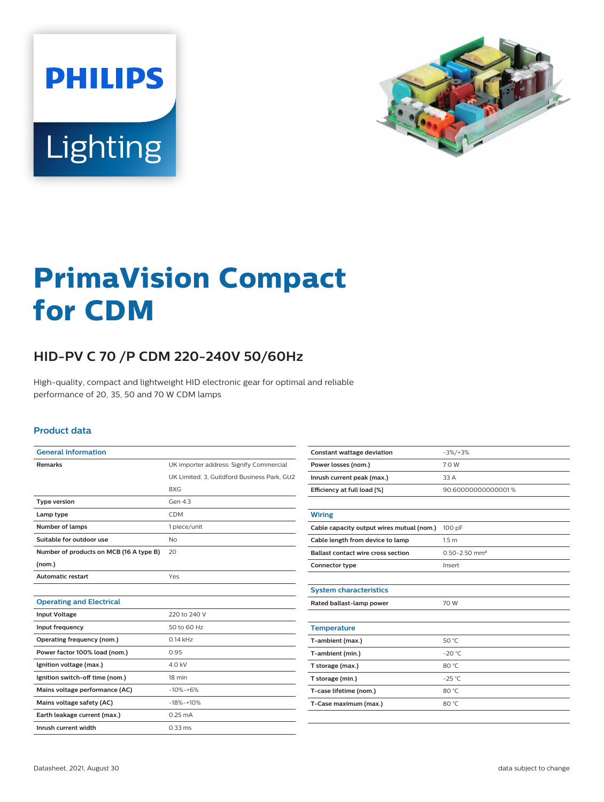



# **PrimaVision Compact for CDM**

## **HID-PV C 70 /P CDM 220-240V 50/60Hz**

High-quality, compact and lightweight HID electronic gear for optimal and reliable performance of 20, 35, 50 and 70 W CDM lamps

#### **Product data**

| <b>General Information</b>              |                                             |  |  |  |  |
|-----------------------------------------|---------------------------------------------|--|--|--|--|
| <b>Remarks</b>                          | UK importer address: Signify Commercial     |  |  |  |  |
|                                         | UK Limited, 3, Guildford Business Park, GU2 |  |  |  |  |
|                                         | 8XG                                         |  |  |  |  |
| <b>Type version</b>                     | Gen 4.3                                     |  |  |  |  |
| Lamp type                               | <b>CDM</b>                                  |  |  |  |  |
| <b>Number of lamps</b>                  | 1 piece/unit                                |  |  |  |  |
| Suitable for outdoor use                | <b>No</b>                                   |  |  |  |  |
| Number of products on MCB (16 A type B) | 20                                          |  |  |  |  |
| (nom.)                                  |                                             |  |  |  |  |
| <b>Automatic restart</b>                | Yes                                         |  |  |  |  |
|                                         |                                             |  |  |  |  |
| <b>Operating and Electrical</b>         |                                             |  |  |  |  |
| <b>Input Voltage</b>                    | 220 to 240 V                                |  |  |  |  |
| Input frequency                         | 50 to 60 Hz                                 |  |  |  |  |
| Operating frequency (nom.)              | $0.14$ kHz                                  |  |  |  |  |
| Power factor 100% load (nom.)           | 0.95                                        |  |  |  |  |
| Ignition voltage (max.)                 | 4.0 kV                                      |  |  |  |  |
| Ignition switch-off time (nom.)         | 18 min                                      |  |  |  |  |
| Mains voltage performance (AC)          | $-10% - +6%$                                |  |  |  |  |
| Mains voltage safety (AC)               | $-18% - +10%$                               |  |  |  |  |
| Earth leakage current (max.)            | $0.25 \text{ mA}$                           |  |  |  |  |
| Inrush current width                    | $0.33$ ms                                   |  |  |  |  |

| <b>Constant wattage deviation</b>         | $-3\%/+3\%$                   |  |  |  |  |
|-------------------------------------------|-------------------------------|--|--|--|--|
| Power losses (nom.)                       | 7.0 W                         |  |  |  |  |
| Inrush current peak (max.)                | 33 A                          |  |  |  |  |
| Efficiency at full load [%]               | 90.60000000000001%            |  |  |  |  |
|                                           |                               |  |  |  |  |
| <b>Wiring</b>                             |                               |  |  |  |  |
| Cable capacity output wires mutual (nom.) | 100 pF                        |  |  |  |  |
| Cable length from device to lamp          | 1.5 <sub>m</sub>              |  |  |  |  |
| <b>Ballast contact wire cross section</b> | $0.50 - 2.50$ mm <sup>2</sup> |  |  |  |  |
| Connector type                            | Insert                        |  |  |  |  |
|                                           |                               |  |  |  |  |
| <b>System characteristics</b>             |                               |  |  |  |  |
| Rated ballast-lamp power                  | 70 W                          |  |  |  |  |
|                                           |                               |  |  |  |  |
| <b>Temperature</b>                        |                               |  |  |  |  |
| T-ambient (max.)                          | 50 °C                         |  |  |  |  |
| T-ambient (min.)                          | $-20 °C$                      |  |  |  |  |
| T storage (max.)                          | 80 °C                         |  |  |  |  |
| T storage (min.)                          | $-25^{\circ}$ C               |  |  |  |  |
| T-case lifetime (nom.)                    | 80 °C                         |  |  |  |  |
| T-Case maximum (max.)                     | 80 °C                         |  |  |  |  |
|                                           |                               |  |  |  |  |